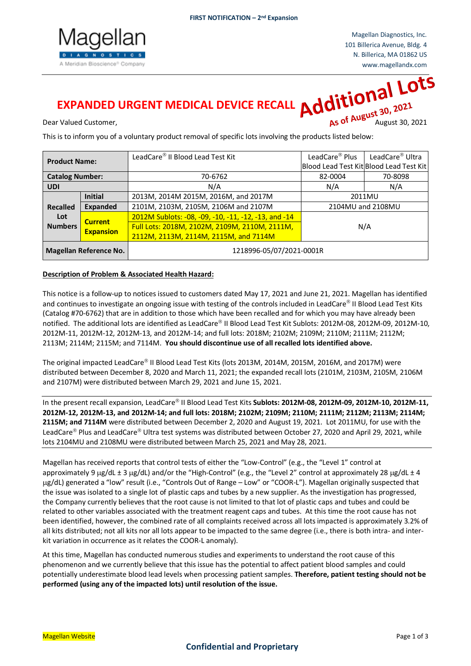

# **EXPANDED URGENT MEDICAL DEVICE RECALL**

Dear Valued Customer, **August 30, 2021 Contract Customers** and August 30, 2021

This is to inform you of a voluntary product removal of specific lots involving the products listed below:

| <b>Product Name:</b>          |                                    | LeadCare® II Blood Lead Test Kit                     | LeadCare <sup>®</sup> Plus | LeadCare <sup>®</sup> Ultra             |
|-------------------------------|------------------------------------|------------------------------------------------------|----------------------------|-----------------------------------------|
|                               |                                    |                                                      |                            | Blood Lead Test Kit Blood Lead Test Kit |
| <b>Catalog Number:</b>        |                                    | 70-6762                                              | 82-0004                    | 70-8098                                 |
| <b>UDI</b>                    |                                    | N/A                                                  | N/A                        | N/A                                     |
|                               | <b>Initial</b>                     | 2013M, 2014M 2015M, 2016M, and 2017M                 | 2011MU                     |                                         |
| <b>Recalled</b>               | <b>Expanded</b>                    | 2101M, 2103M, 2105M, 2106M and 2107M                 | 2104MU and 2108MU          |                                         |
| Lot                           | <b>Current</b><br><b>Expansion</b> | 2012M Sublots: -08, -09, -10, -11, -12, -13, and -14 | N/A                        |                                         |
| <b>Numbers</b>                |                                    | Full Lots: 2018M, 2102M, 2109M, 2110M, 2111M,        |                            |                                         |
|                               |                                    | 2112M, 2113M, 2114M, 2115M, and 7114M                |                            |                                         |
| <b>Magellan Reference No.</b> |                                    | 1218996-05/07/2021-0001R                             |                            |                                         |

## **Description of Problem & Associated Health Hazard:**

This notice is a follow-up to notices issued to customers dated May 17, 2021 and June 21, 2021. Magellan has identified and continues to investigate an ongoing issue with testing of the controls included in LeadCare® II Blood Lead Test Kits (Catalog #70-6762) that are in addition to those which have been recalled and for which you may have already been notified. The additional lots are identified as LeadCare® II Blood Lead Test Kit Sublots: 2012M-08, 2012M-09, 2012M-10, 2012M-11, 2012M-12, 2012M-13, and 2012M-14; and full lots: 2018M; 2102M; 2109M; 2110M; 2111M; 2112M; 2113M; 2114M; 2115M; and 7114M. **You should discontinue use of all recalled lots identified above.**

The original impacted LeadCare® II Blood Lead Test Kits (lots 2013M, 2014M, 2015M, 2016M, and 2017M) were distributed between December 8, 2020 and March 11, 2021; the expanded recall lots (2101M, 2103M, 2105M, 2106M and 2107M) were distributed between March 29, 2021 and June 15, 2021.

In the present recall expansion, LeadCare® II Blood Lead Test Kits **Sublots: 2012M-08, 2012M-09, 2012M-10, 2012M-11**, **2012M-12, 2012M-13, and 2012M-14; and full lots: 2018M; 2102M; 2109M; 2110M; 2111M; 2112M; 2113M; 2114M; 2115M; and 7114M** were distributed between December 2, 2020 and August 19, 2021. Lot 2011MU, for use with the LeadCare<sup>®</sup> Plus and LeadCare<sup>®</sup> Ultra test systems was distributed between October 27, 2020 and April 29, 2021, while lots 2104MU and 2108MU were distributed between March 25, 2021 and May 28, 2021.

Magellan has received reports that control tests of either the "Low-Control" (e.g., the "Level 1" control at approximately 9 µg/dL ± 3 µg/dL) and/or the "High-Control" (e.g., the "Level 2" control at approximately 28 µg/dL ± 4 µg/dL) generated a "low" result (i.e., "Controls Out of Range – Low" or "COOR-L"). Magellan originally suspected that the issue was isolated to a single lot of plastic caps and tubes by a new supplier. As the investigation has progressed, the Company currently believes that the root cause is not limited to that lot of plastic caps and tubes and could be related to other variables associated with the treatment reagent caps and tubes. At this time the root cause has not been identified, however, the combined rate of all complaints received across all lots impacted is approximately 3.2% of all kits distributed; not all kits nor all lots appear to be impacted to the same degree (i.e., there is both intra- and interkit variation in occurrence as it relates the COOR-L anomaly).

At this time, Magellan has conducted numerous studies and experiments to understand the root cause of this phenomenon and we currently believe that this issue has the potential to affect patient blood samples and could potentially underestimate blood lead levels when processing patient samples. **Therefore, patient testing should not be performed (using any of the impacted lots) until resolution of the issue.**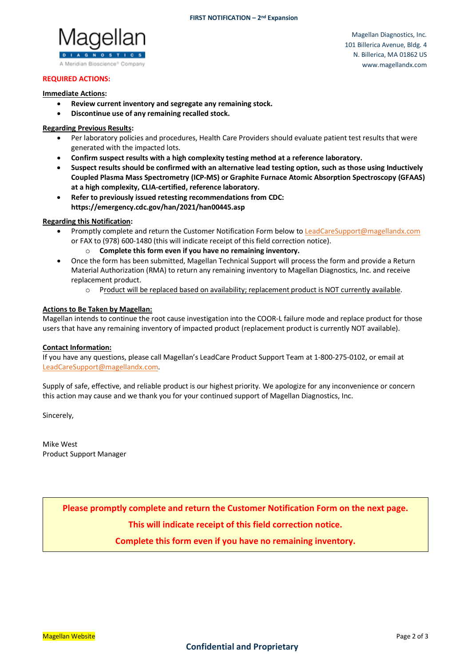

Magellan Diagnostics, Inc. 101 Billerica Avenue, Bldg. 4 N. Billerica, MA 01862 US www.magellandx.com

# **REQUIRED ACTIONS:**

#### **Immediate Actions:**

- **Review current inventory and segregate any remaining stock.**
- **Discontinue use of any remaining recalled stock.**

# **Regarding Previous Results:**

- Per laboratory policies and procedures, Health Care Providers should evaluate patient test results that were generated with the impacted lots.
- **Confirm suspect results with a high complexity testing method at a reference laboratory.**
- **Suspect results should be confirmed with an alternative lead testing option, such as those using Inductively Coupled Plasma Mass Spectrometry (ICP-MS) or Graphite Furnace Atomic Absorption Spectroscopy (GFAAS) at a high complexity, CLIA-certified, reference laboratory.**
- **Refer to previously issued retesting recommendations from CDC: https://emergency.cdc.gov/han/2021/han00445.asp**

## **Regarding this Notification:**

- Promptly complete and return the Customer Notification Form below t[o LeadCareSupport@magellandx.com](mailto:LeadCareSupport@magellandx.com) or FAX to (978) 600-1480 (this will indicate receipt of this field correction notice).
	- o **Complete this form even if you have no remaining inventory.**
- Once the form has been submitted, Magellan Technical Support will process the form and provide a Return Material Authorization (RMA) to return any remaining inventory to Magellan Diagnostics, Inc. and receive replacement product.
	- o Product will be replaced based on availability; replacement product is NOT currently available.

## **Actions to Be Taken by Magellan:**

Magellan intends to continue the root cause investigation into the COOR-L failure mode and replace product for those users that have any remaining inventory of impacted product (replacement product is currently NOT available).

#### **Contact Information:**

If you have any questions, please call Magellan's LeadCare Product Support Team at 1-800-275-0102, or email at [LeadCareSupport@magellandx.com.](mailto:LeadCareSupport@magellandx.com)

Supply of safe, effective, and reliable product is our highest priority. We apologize for any inconvenience or concern this action may cause and we thank you for your continued support of Magellan Diagnostics, Inc.

Sincerely,

Mike West Product Support Manager

**Please promptly complete and return the Customer Notification Form on the next page.**

**This will indicate receipt of this field correction notice.**

**Complete this form even if you have no remaining inventory.**